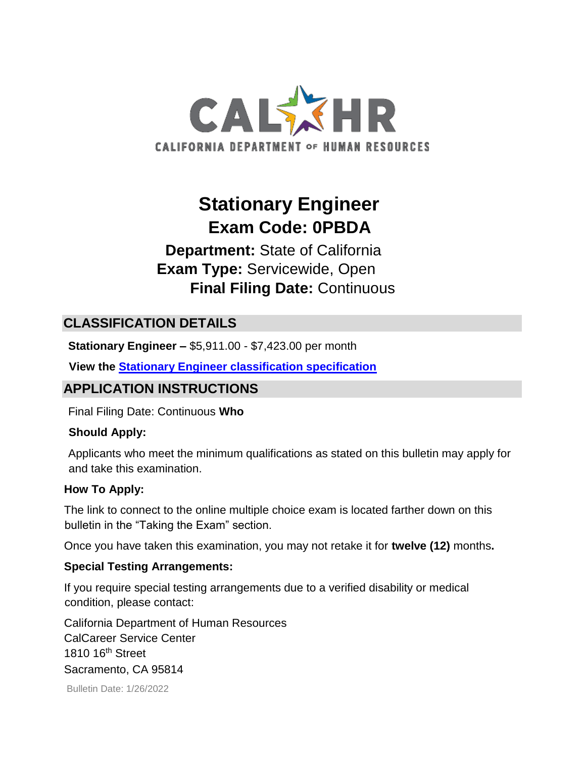

# **Stationary Engineer Exam Code: 0PBDA**

# **Department:** State of California  **Exam Type:** Servicewide, Open **Final Filing Date:** Continuous

# **CLASSIFICATION DETAILS**

**Stationary Engineer –** \$5,911.00 - \$7,423.00 per month

**View the [Stationary Engineer classification specification](http://www.calhr.ca.gov/state-hr-professionals/pages/6712.aspx)**

## **APPLICATION INSTRUCTIONS**

Final Filing Date: Continuous **Who** 

## **Should Apply:**

Applicants who meet the minimum qualifications as stated on this bulletin may apply for and take this examination.

#### **How To Apply:**

The link to connect to the online multiple choice exam is located farther down on this bulletin in the "Taking the Exam" section.

Once you have taken this examination, you may not retake it for **twelve (12)** months**.** 

#### **Special Testing Arrangements:**

If you require special testing arrangements due to a verified disability or medical condition, please contact:

Bulletin Date: 1/26/2022 California Department of Human Resources CalCareer Service Center 1810 16<sup>th</sup> Street Sacramento, CA 95814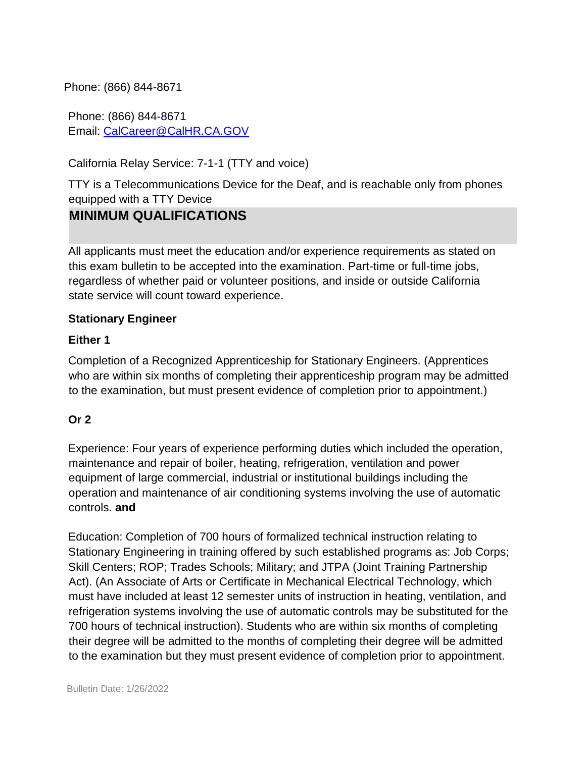#### Phone: (866) 844-8671

Phone: (866) 844-8671 Email: CalCareer@CalHR.CA.GOV

California Relay Service: 7-1-1 (TTY and voice)

TTY is a Telecommunications Device for the Deaf, and is reachable only from phones equipped with a TTY Device

## **MINIMUM QUALIFICATIONS**

All applicants must meet the education and/or experience requirements as stated on this exam bulletin to be accepted into the examination. Part-time or full-time jobs, regardless of whether paid or volunteer positions, and inside or outside California state service will count toward experience.

#### **Stationary Engineer**

#### **Either 1**

Completion of a Recognized Apprenticeship for Stationary Engineers. (Apprentices who are within six months of completing their apprenticeship program may be admitted to the examination, but must present evidence of completion prior to appointment.)

#### **Or 2**

Experience: Four years of experience performing duties which included the operation, maintenance and repair of boiler, heating, refrigeration, ventilation and power equipment of large commercial, industrial or institutional buildings including the operation and maintenance of air conditioning systems involving the use of automatic controls. **and** 

Education: Completion of 700 hours of formalized technical instruction relating to Stationary Engineering in training offered by such established programs as: Job Corps; Skill Centers; ROP; Trades Schools; Military; and JTPA (Joint Training Partnership Act). (An Associate of Arts or Certificate in Mechanical Electrical Technology, which must have included at least 12 semester units of instruction in heating, ventilation, and refrigeration systems involving the use of automatic controls may be substituted for the 700 hours of technical instruction). Students who are within six months of completing their degree will be admitted to the months of completing their degree will be admitted to the examination but they must present evidence of completion prior to appointment.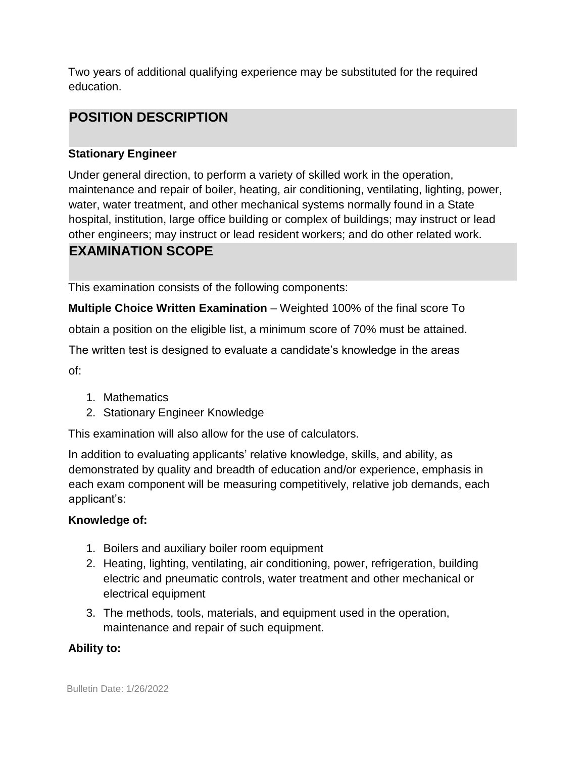Two years of additional qualifying experience may be substituted for the required education.

## **POSITION DESCRIPTION**

#### **Stationary Engineer**

Under general direction, to perform a variety of skilled work in the operation, maintenance and repair of boiler, heating, air conditioning, ventilating, lighting, power, water, water treatment, and other mechanical systems normally found in a State hospital, institution, large office building or complex of buildings; may instruct or lead other engineers; may instruct or lead resident workers; and do other related work.

## **EXAMINATION SCOPE**

This examination consists of the following components:

**Multiple Choice Written Examination** – Weighted 100% of the final score To obtain a position on the eligible list, a minimum score of 70% must be attained. The written test is designed to evaluate a candidate's knowledge in the areas of:

- 1. Mathematics
- 2. Stationary Engineer Knowledge

This examination will also allow for the use of calculators.

In addition to evaluating applicants' relative knowledge, skills, and ability, as demonstrated by quality and breadth of education and/or experience, emphasis in each exam component will be measuring competitively, relative job demands, each applicant's:

#### **Knowledge of:**

- 1. Boilers and auxiliary boiler room equipment
- 2. Heating, lighting, ventilating, air conditioning, power, refrigeration, building electric and pneumatic controls, water treatment and other mechanical or electrical equipment
- 3. The methods, tools, materials, and equipment used in the operation, maintenance and repair of such equipment.

#### **Ability to:**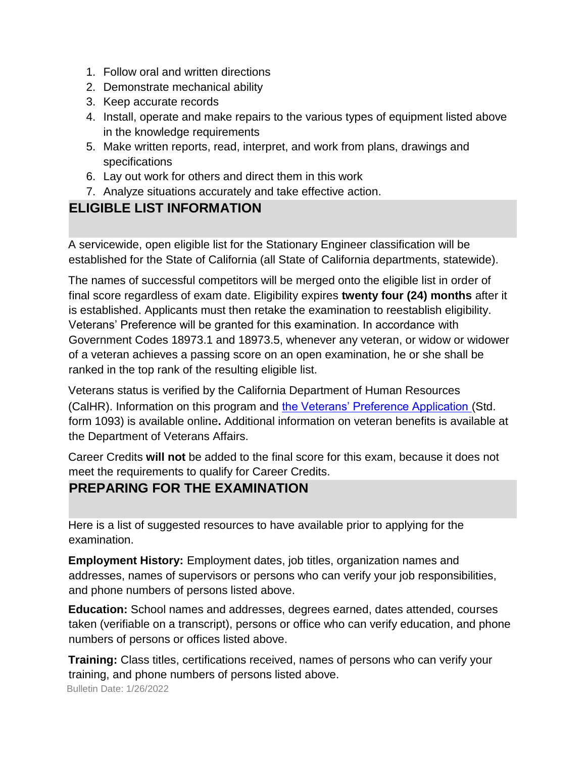- 1. Follow oral and written directions
- 2. Demonstrate mechanical ability
- 3. Keep accurate records
- 4. Install, operate and make repairs to the various types of equipment listed above in the knowledge requirements
- 5. Make written reports, read, interpret, and work from plans, drawings and specifications
- 6. Lay out work for others and direct them in this work
- 7. Analyze situations accurately and take effective action.

## **ELIGIBLE LIST INFORMATION**

A servicewide, open eligible list for the Stationary Engineer classification will be established for the State of California (all State of California departments, statewide).

The names of successful competitors will be merged onto the eligible list in order of final score regardless of exam date. Eligibility expires **twenty four (24) months** after it is established. Applicants must then retake the examination to reestablish eligibility. Veterans' Preference will be granted for this examination. In accordance with Government Codes 18973.1 and 18973.5, whenever any veteran, or widow or widower of a veteran achieves a passing score on an open examination, he or she shall be ranked in the top rank of the resulting eligible list.

Veterans status is verified by the California Department of Human Resources (CalHR). Information on this program and [the Veterans' Preference Application \(S](https://www.jobs.ca.gov/CalHRPublic/Landing/Jobs/VeteransInformation.aspx)td. form 1093) is available online**.** Additional information on veteran benefits is available at the Department of Veterans Affairs.

Career Credits **will not** be added to the final score for this exam, because it does not meet the requirements to qualify for Career Credits.

# **PREPARING FOR THE EXAMINATION**

Here is a list of suggested resources to have available prior to applying for the examination.

**Employment History:** Employment dates, job titles, organization names and addresses, names of supervisors or persons who can verify your job responsibilities, and phone numbers of persons listed above.

**Education:** School names and addresses, degrees earned, dates attended, courses taken (verifiable on a transcript), persons or office who can verify education, and phone numbers of persons or offices listed above.

Bulletin Date: 1/26/2022 **Training:** Class titles, certifications received, names of persons who can verify your training, and phone numbers of persons listed above.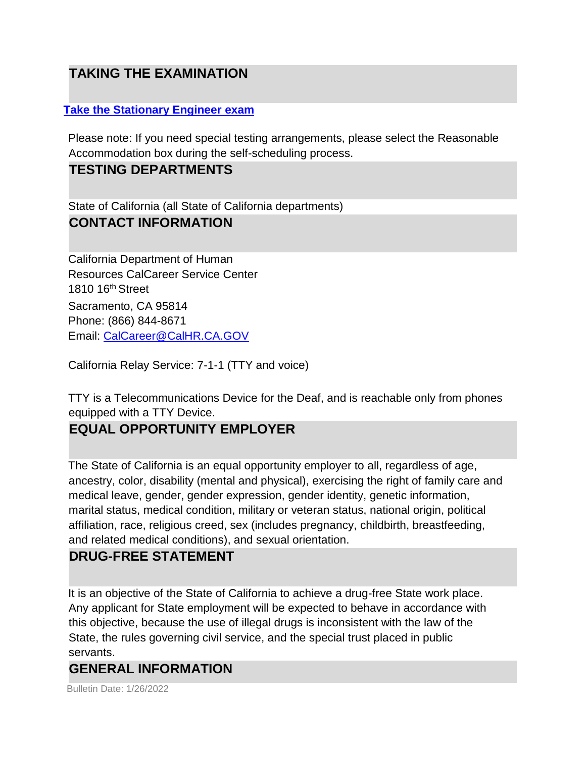# **TAKING THE EXAMINATION**

#### **[Take the Stationary Engineer](https://www.jobs.ca.gov/CalHRPublic/Login.aspx?ExamId=0PBDA) [exam](https://www.jobs.ca.gov/CalHRPublic/Login.aspx?ExamId=0PBDA)**

Please note: If you need special testing arrangements, please select the Reasonable Accommodation box during the self-scheduling process.

## **TESTING DEPARTMENTS**

State of California (all State of California departments)

## **CONTACT INFORMATION**

California Department of Human Resources CalCareer Service Center 1810 16th Street Sacramento, CA 95814 Phone: (866) 844-8671 Email: CalCareer@CalHR.CA.GOV

California Relay Service: 7-1-1 (TTY and voice)

TTY is a Telecommunications Device for the Deaf, and is reachable only from phones equipped with a TTY Device.

## **EQUAL OPPORTUNITY EMPLOYER**

The State of California is an equal opportunity employer to all, regardless of age, ancestry, color, disability (mental and physical), exercising the right of family care and medical leave, gender, gender expression, gender identity, genetic information, marital status, medical condition, military or veteran status, national origin, political affiliation, race, religious creed, sex (includes pregnancy, childbirth, breastfeeding, and related medical conditions), and sexual orientation.

## **DRUG-FREE STATEMENT**

It is an objective of the State of California to achieve a drug-free State work place. Any applicant for State employment will be expected to behave in accordance with this objective, because the use of illegal drugs is inconsistent with the law of the State, the rules governing civil service, and the special trust placed in public servants.

## **GENERAL INFORMATION**

Bulletin Date: 1/26/2022